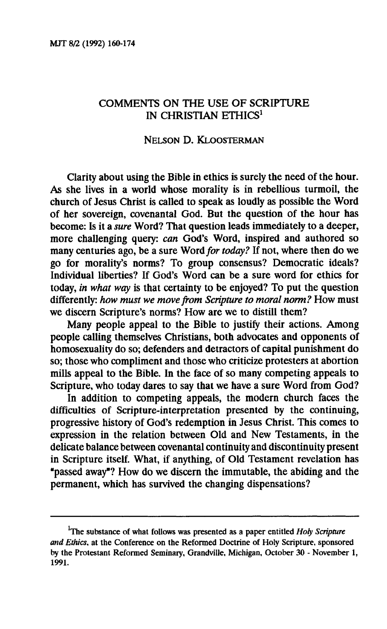## **COMMENTS ON THE USE OF SCRIPTURE IN CHRISTIAN ETHICS<sup>1</sup>**

#### **NELSON D. KLOOSTERMAN**

**Clarity about using the Bible in ethics is surely the need of the hour. As she lives in a world whose morality is in rebellious turmoil, the church of Jesus Christ is called to speak as loudly as possible the Word of her sovereign, covenantal God. But the question of the hour has become: Is it a** *sure* **Word? That question leads immediately to a deeper, more challenging query:** *can* **God's Word, inspired and authored so many centuries ago, be a sure Word** *for today?* **If not, where then do we go for morality's norms? To group consensus? Democratic ideals? Individual liberties? If God's Word can be a sure word for ethics for today,** *in what way* **is that certainty to be enjoyed? To put the question differently:** *how must we move from Scripture to moral norm?* **How must we discern Scripture's norms? How are we to distill them?** 

**Many people appeal to the Bible to justify their actions. Among people calling themselves Christians, both advocates and opponents of homosexuality do so; defenders and detractors of capital punishment do so; those who compliment and those who criticize protesters at abortion mills appeal to the Bible. In the face of so many competing appeals to Scripture, who today dares to say that we have a sure Word from God?** 

**In addition to competing appeals, the modern church faces the difficulties of Scripture-interpretation presented by the continuing, progressive history of God's redemption in Jesus Christ. This comes to expression in the relation between Old and New Testaments, in the delicate balance between covenantal continuity and discontinuity present in Scripture itself. What, if anything, of Old Testament revelation has "passed away"? How do we discern the immutable, the abiding and the permanent, which has survived the changing dispensations?** 

**The substance of what follows was presented as a paper entitled** *Holy Scripture and Ethics,* **at the Conference on the Reformed Doctrine of Holy Scripture, sponsored by the Protestant Reformed Seminary, Grandville, Michigan, October 30 - November 1, 1991.**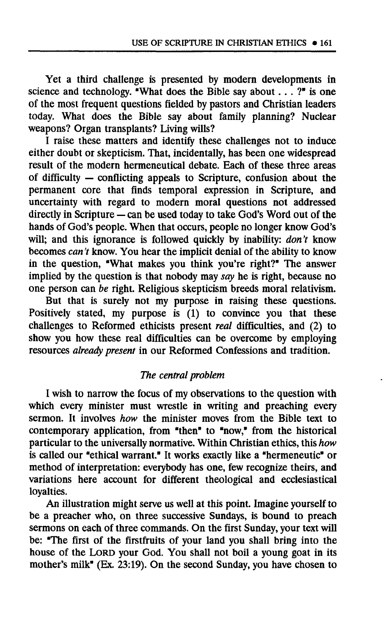**Yet a third challenge is presented by modern developments in science and technology. "What does the Bible say about.. . ?" is one of the most frequent questions fielded by pastors and Christian leaders today. What does the Bible say about family planning? Nuclear weapons? Organ transplants? Living wills?** 

**I raise these matters and identify these challenges not to induce either doubt or skepticism. That, incidentally, has been one widespread result of the modern hermeneutical debate. Each of these three areas of difficulty — conflicting appeals to Scripture, confusion about the permanent core that finds temporal expression in Scripture, and uncertainty with regard to modern moral questions not addressed directly in Scripture — can be used today to take God's Word out of the hands of God's people. When that occurs, people no longer know God's will; and this ignorance is followed quickly by inability:** *don't* **know becomes** *can't* **know. You hear the implicit denial of the ability to know in the question, "What makes you think you're right?" The answer implied by the question is that nobody may** *say* **he is right, because no one person can** *be* **right. Religious skepticism breeds moral relativism.** 

**But that is surely not my purpose in raising these questions. Positively stated, my purpose is (1) to convince you that these challenges to Reformed ethicists present** *real* **difficulties, and (2) to**  show you how these real difficulties can be overcome by employing **resources** *already present* **in our Reformed Confessions and tradition.** 

# *The central problem*

**I wish to narrow the focus of my observations to the question with which every minister must wrestle in writing and preaching every sermon. It involves** *how* **the minister moves from the Bible text to contemporary application, from "then" to "now," from the historical particular to the universally normative. Within Christian ethics, this** *how*  **is called our "ethical warrant." It works exactly like a "hermeneutic" or method of interpretation: everybody has one, few recognize theirs, and variations here account for different theological and ecclesiastical loyalties.** 

**An illustration might serve us well at this point. Imagine yourself to be a preacher who, on three successive Sundays, is bound to preach sermons on each of three commands. On the first Sunday, your text will be: "The first of the firstfruits of your land you shall bring into the house of the LORD your God. You shall not boil a young goat in its mother's milk" (Ex. 23:19). On the second Sunday, you have chosen to**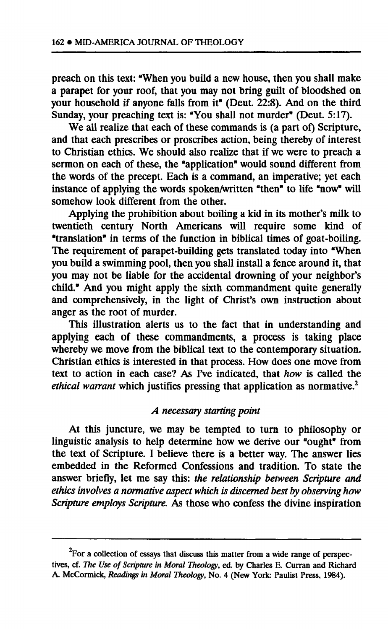**preach on this text: "When you build a new house, then you shall make a parapet for your roof, that you may not bring guilt of bloodshed on your household if anyone falls from it" (Deut. 22:8). And on the third**  Sunday, your preaching text is: "You shall not murder" (Deut. 5:17).

**We all realize that each of these commands is (a part of) Scripture, and that each prescribes or proscribes action, being thereby of interest to Christian ethics. We should also realize that if we were to preach a sermon on each of these, the "application" would sound different from the words of the precept. Each is a command, an imperative; yet each instance of applying the words spoken/written "then" to life "now" will somehow look different from the other.** 

**Applying the prohibition about boiling a kid in its mother's milk to twentieth century North Americans will require some kind of "translation" in terms of the function in biblical times of goat-boiling. The requirement of parapet-building gets translated today into "When you build a swimming pool, then you shall install a fence around it, that you may not be liable for the accidental drowning of your neighbor's child." And you might apply the sixth commandment quite generally and comprehensively, in the light of Christ's own instruction about anger as the root of murder.** 

**This illustration alerts us to the fact that in understanding and applying each of these commandments, a process is taking place whereby we move from the biblical text to the contemporary situation. Christian ethics is interested in that process. How does one move from text to action in each case? As I've indicated, that** *how* **is called the**  *ethical warrant* **which justifies pressing that application as normative.<sup>2</sup>**

# *A necessary starting point*

**At this juncture, we may be tempted to turn to philosophy or linguistic analysis to help determine how we derive our "ought" from the text of Scripture. I believe there is a better way. The answer lies embedded in the Reformed Confessions and tradition. To state the answer briefly, let me say this:** *the relationship between Scripture and ethics involves a normative aspect which is discerned best by observing how Scripture employs Scripture.* **As those who confess the divine inspiration** 

<sup>&</sup>lt;sup>2</sup>For a collection of essays that discuss this matter from a wide range of perspec**tives, cf.** *The Use of Scripture in Moral Theology,* **ed. by Charles E. Curran and Richard A. McCormick,** *Readings in Moral Theology,* **No. 4 (New York: Paulist Press, 1984).**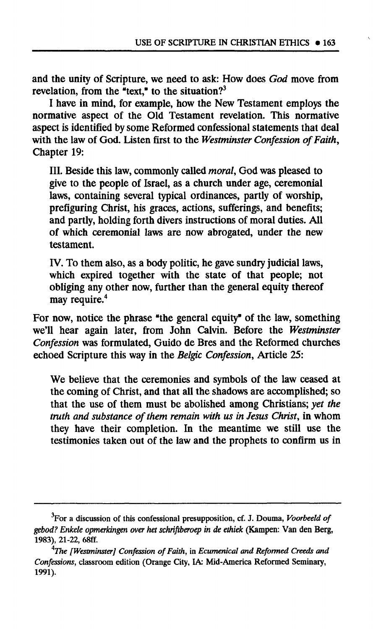**and the unity of Scripture, we need to ask: How does** *God* **move from revelation, from the "text," to the situation?<sup>3</sup>**

**I have in mind, for example, how the New Testament employs the normative aspect of the Old Testament revelation. This normative aspect is identified by some Reformed confessional statements that deal with the law of God. Listen first to the** *Westminster Confession of Faith,*  **Chapter 19:** 

**III. Beside this law, commonly called** *moral,* **God was pleased to give to the people of Israel, as a church under age, ceremonial laws, containing several typical ordinances, partly of worship, prefiguring Christ, his graces, actions, sufferings, and benefits; and partly, holding forth divers instructions of moral duties. All of which ceremonial laws are now abrogated, under the new testament.** 

**IV. To them also, as a body politic, he gave sundry judicial laws, which expired together with the state of that people; not obliging any other now, further than the general equity thereof may require.<sup>4</sup>**

**For now, notice the phrase "the general equity" of the law, something we'll hear again later, from John Calvin. Before the** *Westminster Confession* **was formulated, Guido de Bres and the Reformed churches echoed Scripture this way in the** *Belgic Confession,* **Article 25:** 

**We believe that the ceremonies and symbols of the law ceased at the coming of Christ, and that all the shadows are accomplished; so that the use of them must be abolished among Christians;** *yet the truth and substance of them remain with us in Jesus Christ,* **in whom they have their completion. In the meantime we still use the testimonies taken out of the law and the prophets to confirm us in** 

**<sup>3</sup>For a discussion of this confessional presupposition, cf. J. Douma,** *Voorbeeld of gebod? Enkele opmerkingen over het schriftberoep in de ethiek* **(Kampen: Van den Berg, 1983), 21-22, 68ff.** 

*<sup>4</sup>The [Westminster] Confession of Faith,* **in** *Ecumenical and Reformed Creeds and Confessions,* **classroom edition (Orange City, IA: Mid-America Reformed Seminary, 1991).**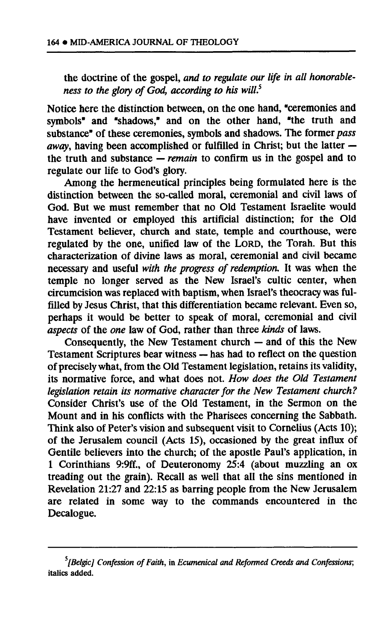**the doctrine of the gospel,** *and to regulate our life in all honorableness to the glory of God, according to his will.<sup>5</sup>*

**Notice here the distinction between, on the one hand, "ceremonies and symbols" and "shadows," and on the other hand, "the truth and substance" of these ceremonies, symbols and shadows. The former** *pass away,* **having been accomplished or fulfilled in Christ; but the latter the truth and substance —** *remain* **to confirm us in the gospel and to regulate our life to God's glory.** 

**Among the hermeneutical principles being formulated here is the distinction between the so-called moral, ceremonial and civil laws of God. But we must remember that no Old Testament Israelite would have invented or employed this artificial distinction; for the Old Testament believer, church and state, temple and courthouse, were regulated by the one, unified law of the LORD, the Torah. But this characterization of divine laws as moral, ceremonial and civil became necessary and useful** *with the progress of redemption.* **It was when the temple no longer served as the New Israel's cultic center, when circumcision was replaced with baptism, when Israel's theocracy was fulfilled by Jesus Christ, that this differentiation became relevant. Even so, perhaps it would be better to speak of moral, ceremonial and civil**  *aspects* **of the** *one* **law of God, rather than three** *kinds* **of laws.** 

**Consequently, the New Testament church — and of this the New Testament Scriptures bear witness — has had to reflect on the question of precisely what, from the Old Testament legislation, retains its validity, its normative force, and what does not.** *How does the Old Testament legislation retain its normative character for the New Testament church?*  **Consider Christ's use of the Old Testament, in the Sermon on the Mount and in his conflicts with the Pharisees concerning the Sabbath. Think also of Peter's vision and subsequent visit to Cornelius (Acts 10); of the Jerusalem council (Acts 15), occasioned by the great influx of Gentile believers into the church; of the apostle Paul's application, in 1 Corinthians 9:9ff., of Deuteronomy 25:4 (about muzzling an ox treading out the grain). Recall as well that all the sins mentioned in Revelation 21:27 and 22:15 as barring people from the New Jerusalem are related in some way to the commands encountered in the Decalogue.** 

*s [Belgic] Confession of Faith,* **in** *Ecumenical and Reformed Creeds and Confessions;*  **italics added.**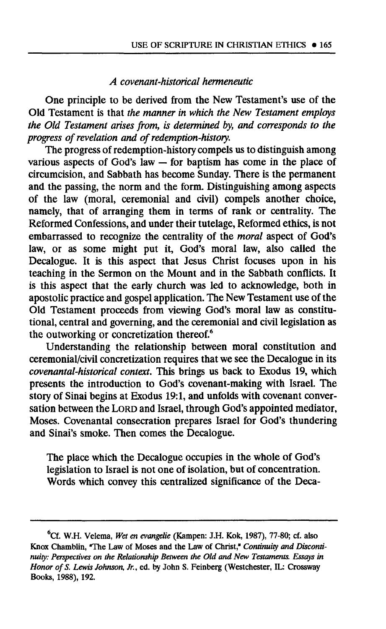### *A covenant-historical hermeneutic*

**One principle to be derived from the New Testament's use of the Old Testament is that** *the manner in which the New Testament employs the Old Testament arises from, is determined by, and corresponds to the progress of revelation and of redemption-history.* 

**The progress of redemption-history compels us to distinguish among various aspects of God's law — for baptism has come in the place of circumcision, and Sabbath has become Sunday. There is the permanent and the passing, the norm and the form. Distinguishing among aspects of the law (moral, ceremonial and civil) compels another choice,**  namely, that of arranging them in terms of rank or centrality. The **Reformed Confessions, and under their tutelage, Reformed ethics, is not embarrassed to recognize the centrality of the** *moral* **aspect of God's law, or as some might put it, God's moral law, also called the Decalogue. It is this aspect that Jesus Christ focuses upon in his teaching in the Sermon on the Mount and in the Sabbath conflicts. It is this aspect that the early church was led to acknowledge, both in apostolic practice and gospel application. The New Testament use of the Old Testament proceeds from viewing God's moral law as constitutional, central and governing, and the ceremonial and civil legislation as the outworking or concretization thereof.<sup>6</sup>**

**Understanding the relationship between moral constitution and ceremonial/civil concretization requires that we see the Decalogue in its**  *covenantal-historical context.* **This brings us back to Exodus 19, which presents the introduction to God's covenant-making with Israel. The story of Sinai begins at Exodus 19:1, and unfolds with covenant conversation between the LORD and Israel, through God's appointed mediator, Moses. Covenantal consecration prepares Israel for God's thundering and Sinai's smoke. Then comes the Decalogue.** 

**The place which the Decalogue occupies in the whole of God's legislation to Israel is not one of isolation, but of concentration. Words which convey this centralized significance of the Deca-**

**<sup>6</sup>Cf. W.H. Velema,** *Wet en evangelie* **(Kampen: J.H. Kok, 1987), 77-80; cf. also Knox Chamblin, "The Law of Moses and the Law of Christ,"** *Continuity and Discontinuity: Perspectives on the Relationship Between the Old and New Testaments. Essays in Honor of S. Lewis Johnson, Jr.,* **ed. by John S. Feinberg (Westchester, IL: Crossway Books, 1988), 192.**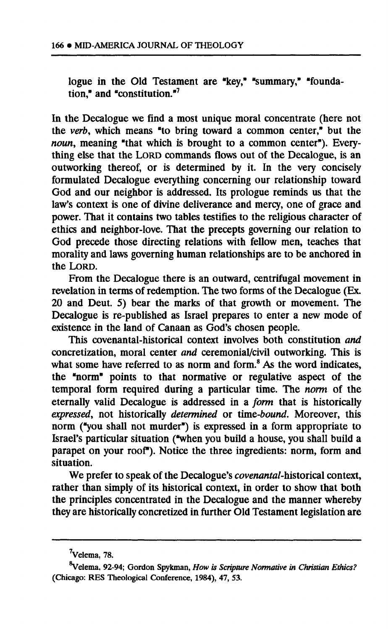**logue in the Old Testament are "key," "summary," "foundation," and "constitution."<sup>7</sup>**

**In the Decalogue we find a most unique moral concentrate (here not the** *verb,* **which means "to bring toward a common center," but the**  *noun,* **meaning "that which is brought to a common center"). Everything else that the LORD commands flows out of the Decalogue, is an outworking thereof, or is determined by it. In the very concisely formulated Decalogue everything concerning our relationship toward God and our neighbor is addressed. Its prologue reminds us that the law's context is one of divine deliverance and mercy, one of grace and power. That it contains two tables testifies to the religious character of ethics and neighbor-love. That the precepts governing our relation to God precede those directing relations with fellow men, teaches that morality and laws governing human relationships are to be anchored in the LORD.** 

**From the Decalogue there is an outward, centrifugal movement in revelation in terms of redemption. The two forms of the Decalogue (Ex. 20 and Deut. 5) bear the marks of that growth or movement. The Decalogue is re-published as Israel prepares to enter a new mode of existence in the land of Canaan as God's chosen people.** 

**This covenantal-historical context involves both constitution** *and*  **concretization, moral center** *and* **ceremonial/civil outworking. This is what some have referred to as norm and form.<sup>8</sup> As the word indicates, the "norm" points to that normative or regulative aspect of the temporal form required during a particular time. The** *norm* **of the eternally valid Decalogue is addressed in a** *form* **that is historically**  *expressed,* **not historically** *determined* **or** *lime-bound.* **Moreover, this norm ("you shall not murder") is expressed in a form appropriate to Israel's particular situation ("when you build a house, you shall build a parapet on your roof"). Notice the three ingredients: norm, form and situation.** 

**We prefer to speak of the Decalogue's** *covenantal-hislorìcaì* **context, rather than simply of its historical context, in order to show that both the principles concentrated in the Decalogue and the manner whereby they are historically concretized in further Old Testament legislation are** 

**Velema, 78.** 

**velema, 92-94; Gordon Spykman,** *How is Scripture Normative in Christian Ethics?*  **(Chicago: RES Theological Conference, 1984), 47, 53.**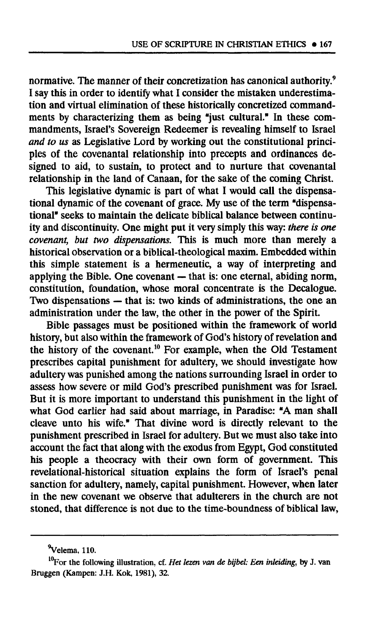**normative. The manner of their concretization has canonical authority.<sup>9</sup> I say this in order to identify what I consider the mistaken underestimation and virtual elimination of these historically concretized commandments by characterizing them as being "just cultural." In these commandments, Israel's Sovereign Redeemer is revealing himself to Israel**  *and to us* **as Legislative Lord by working out the constitutional principles of the covenantal relationship into precepts and ordinances designed to aid, to sustain, to protect and to nurture that covenantal relationship in the land of Canaan, for the sake of the coming Christ.** 

**This legislative dynamic is part of what I would call the dispensational dynamic of the covenant of grace. My use of the term "dispensa**tional" seeks to maintain the delicate biblical balance between continu**ity and discontinuity. One might put it very simply this way:** *there is one covenant, but two dispensations.* **This is much more than merely a historical observation or a biblical-theological maxim. Embedded within this simple statement is a hermeneutic, a way of interpreting and applying the Bible. One covenant — that is: one eternal, abiding norm, constitution, foundation, whose moral concentrate is the Decalogue. Two dispensations — that is: two kinds of administrations, the one an administration under the law, the other in the power of the Spirit.** 

**Bible passages must be positioned within the framework of world history, but also within the framework of God's history of revelation and the history of the covenant.<sup>10</sup> For example, when the Old Testament prescribes capital punishment for adultery, we should investigate how adultery was punished among the nations surrounding Israel in order to assess how severe or mild God's prescribed punishment was for Israel. But it is more important to understand this punishment in the light of what God earlier had said about marriage, in Paradise: "A man shall cleave unto his wife." That divine word is directly relevant to the punishment prescribed in Israel for adultery. But we must also take into account the fact that along with the exodus from Egypt, God constituted his people a theocracy with their own form of government. This revelational-historical situation explains the form of Israel's penal**  sanction for adultery, namely, capital punishment. However, when later **in the new covenant we observe that adulterers in the church are not stoned, that difference is not due to the time-boundness of biblical law,** 

**Velema, 110.** 

**l0For the following illustration, cf.** *Het lezen van de bijbel: Een inleiding,* **by J. van Bmggen (Kampen: J.H. Kok, 1981), 32.**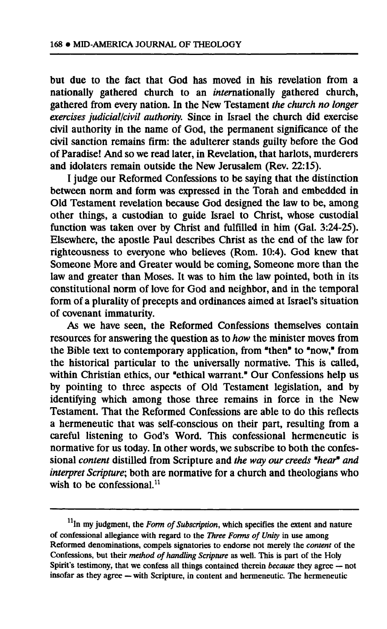**but due to the fact that God has moved in his revelation from a nationally gathered church to an internationally gathered church, gathered from every nation. In the New Testament** *the church no longer exercises judicial/civil authority.* **Since in Israel the church did exercise civil authority in the name of God, the permanent significance of the civil sanction remains firm: the adulterer stands guilty before the God of Paradise! And so we read later, in Revelation, that harlots, murderers and idolaters remain outside the New Jerusalem (Rev. 22:15).** 

**I judge our Reformed Confessions to be saying that the distinction between norm and form was expressed in the Torah and embedded in Old Testament revelation because God designed the law to be, among other things, a custodian to guide Israel to Christ, whose custodial function was taken over by Christ and fulfilled in him (Gal. 3:24-25). Elsewhere, the apostle Paul describes Christ as the end of the law for righteousness to everyone who believes (Rom. 10:4). God knew that Someone More and Greater would be coming, Someone more than the law and greater than Moses. It was to him the law pointed, both in its constitutional norm of love for God and neighbor, and in the temporal form of a plurality of precepts and ordinances aimed at Israel's situation of covenant immaturity.** 

**As we have seen, the Reformed Confessions themselves contain resources for answering the question as to** *how* **the minister moves from the Bible text to contemporary application, from "then" to "now," from the historical particular to the universally normative. This is called, within Christian ethics, our "ethical warrant." Our Confessions help us by pointing to three aspects of Old Testament legislation, and by identifying which among those three remains in force in the New Testament. That the Reformed Confessions are able to do this reflects a hermeneutic that was self-conscious on their part, resulting from a careful listening to God's Word. This confessional hermeneutic is normative for us today. In other words, we subscribe to both the confessional** *content* **distilled from Scripture and** *the way our creeds "hear\* and interpret Scripture-,* **both are normative for a church and theologians who wish to be confessional.<sup>11</sup>**

**In my judgment, the** *Form of Subscription,* **which specifies the extent and nature of confessional allegiance with regard to the** *Three Forms of Unity* **in use among Reformed denominations, compels signatories to endorse not merely the** *content* **of the Confessions, but their** *method of handling Scripture* **as well. This is part of the Holy Spirit's testimony, that we confess all things contained therein** *because* **they agree — not insofar as they agree — with Scripture, in content and hermeneutic. The hermeneutic**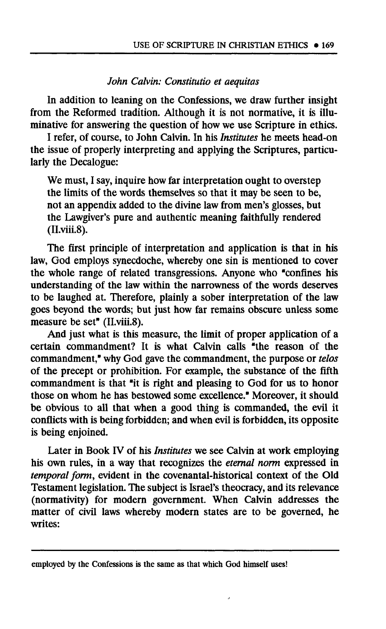#### *John Calvin: Constitutio et aequitas*

**In addition to leaning on the Confessions, we draw further insight from the Reformed tradition. Although it is not normative, it is illuminative for answering the question of how we use Scripture in ethics.** 

**I refer, of course, to John Calvin. In his** *Institutes* **he meets head-on the issue of properly interpreting and applying the Scriptures, particularly the Decalogue:** 

**We must, I say, inquire how far interpretation ought to overstep the limits of the words themselves so that it may be seen to be, not an appendix added to the divine law from men's glosses, but the Lawgiver's pure and authentic meaning faithfully rendered (II.viii.8).** 

**The first principle of interpretation and application is that in his law, God employs synecdoche, whereby one sin is mentioned to cover the whole range of related transgressions. Anyone who "confines his understanding of the law within the narrowness of the words deserves to be laughed at. Therefore, plainly a sober interpretation of the law goes beyond the words; but just how far remains obscure unless some measure be set" (II.viii.8).** 

**And just what is this measure, the limit of proper application of a certain commandment? It is what Calvin calls e the reason of the commandment," why God gave the commandment, the purpose or** *telos*  **of the precept or prohibition. For example, the substance of the fifth commandment is that "it is right and pleasing to God for us to honor those on whom he has bestowed some excellence." Moreover, it should be obvious to all that when a good thing is commanded, the evil it conflicts with is being forbidden; and when evil is forbidden, its opposite is being enjoined.** 

**Later in Book IV of his** *Institutes* **we see Calvin at work employing his own rules, in a way that recognizes the** *eternal norm* **expressed in**  *temporal form,* **evident in the covenantal-historical context of the Old Testament legislation. The subject is Israel's theocracy, and its relevance (normativity) for modern government. When Calvin addresses the matter of civil laws whereby modern states are to be governed, he writes:** 

**employed by the Confessions is the same as that which God himself uses!**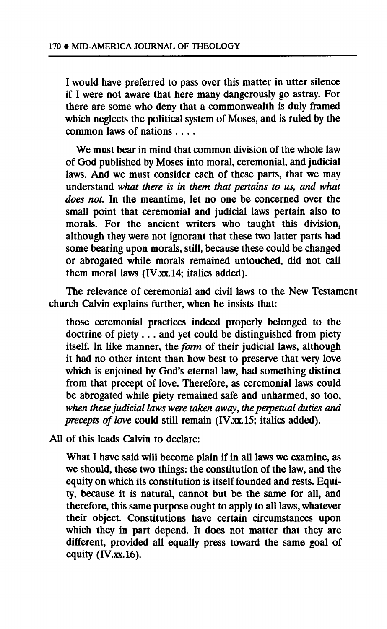**I would have preferred to pass over this matter in utter silence if I were not aware that here many dangerously go astray. For there are some who deny that a commonwealth is duly framed which neglects the political system of Moses, and is ruled by the common laws of nations ... .** 

**We must bear in mind that common division of the whole law of God published by Moses into moral, ceremonial, and judicial laws. And we must consider each of these parts, that we may understand** *what there is in them that pertains to us, and what does not.* **In the meantime, let no one be concerned over the small point that ceremonial and judicial laws pertain also to morals. For the ancient writers who taught this division, although they were not ignorant that these two latter parts had some bearing upon morals, still, because these could be changed or abrogated while morals remained untouched, did not call them moral laws [\(IV.xx.14;](http://IV.xx.14) italics added).** 

**The relevance of ceremonial and civil laws to the New Testament church Calvin explains further, when he insists that:** 

**those ceremonial practices indeed properly belonged to the doctrine of piety .. . and yet could be distinguished from piety itself. In like manner, the** *form* **of their judicial laws, although it had no other intent than how best to preserve that very love which is enjoined by God's eternal law, had something distinct from that precept of love. Therefore, as ceremonial laws could be abrogated while piety remained safe and unharmed, so too,**  *when these judicial laws were taken away, the perpetual duties and precepts of love* **could still remain ([IV.xx.15;](http://IV.xx.15) italics added).** 

**All of this leads Calvin to declare:** 

**What I have said will become plain if in all laws we examine, as we should, these two things: the constitution of the law, and the equity on which its constitution is itself founded and rests. Equity, because it is natural, cannot but be the same for all, and therefore, this same purpose ought to apply to all laws, whatever their object. Constitutions have certain circumstances upon which they in part depend. It does not matter that they are different, provided all equally press toward the same goal of equity ([IV.xx.16\)](http://IV.xx.16).**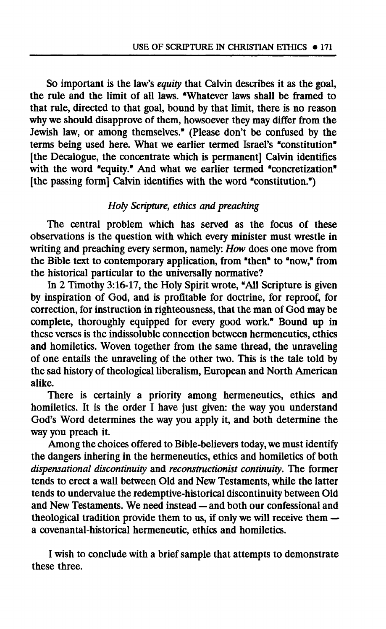**So important is the law's** *equity* **that Calvin describes it as the goal, the rule and the limit of all laws. "Whatever laws shall be framed to that rule, directed to that goal, bound by that limit, there is no reason why we should disapprove of them, howsoever they may differ from the Jewish law, or among themselves." (Please don't be confused by the terms being used here. What we earlier termed Israel's "constitution" [the Decalogue, the concentrate which is permanent] Calvin identifies with the word "equity." And what we earlier termed "concretization" [the passing form] Calvin identifies with the word "constitution.")** 

## *Holy Scripture, ethics and preaching*

**The central problem which has served as the focus of these observations is the question with which every minister must wrestle in writing and preaching every sermon, namely:** *How* **does one move from the Bible text to contemporary application, from "then" to "now," from the historical particular to the universally normative?** 

**In 2 Timothy 3:16-17, the Holy Spirit wrote, "All Scripture is given by inspiration of God, and is profitable for doctrine, for reproof, for correction, for instruction in righteousness, that the man of God may be complete, thoroughly equipped for every good work." Bound up in these verses is the indissoluble connection between hermeneutics, ethics and homiletics. Woven together from the same thread, the unraveling of one entails the unraveling of the other two. This is the tale told by the sad history of theological liberalism, European and North American alike.** 

**There is certainly a priority among hermeneutics, ethics and homiletics. It is the order I have just given: the way you understand God's Word determines the way you apply it, and both determine the way you preach it.** 

**Among the choices offered to Bible-believers today, we must identify the dangers inhering in the hermeneutics, ethics and homiletics of both**  *dispensational discontinuity* **and** *^constructionist continuity.* **The former tends to erect a wall between Old and New Testaments, while the latter tends to undervalue the redemptive-historical discontinuity between Old and New Testaments. We need instead — and both our confessional and theological tradition provide them to us, if only we will receive them a covenantal-historical hermeneutic, ethics and homiletics.** 

**I wish to conclude with a brief sample that attempts to demonstrate these three.**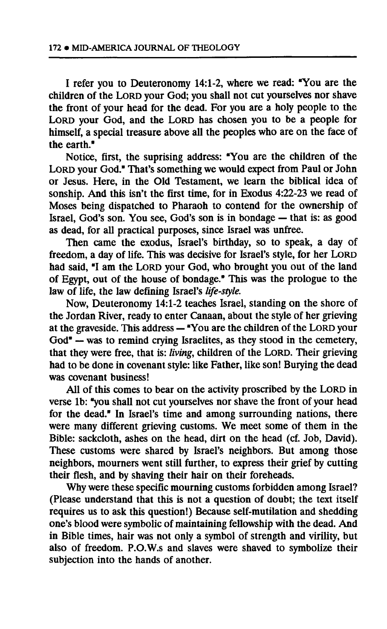**I refer you to Deuteronomy 14:1-2, where we read: "You are the children of the LORD your God; you shall not cut yourselves nor shave the front of your head for the dead. For you are a holy people to the LORD your God, and the LORD has chosen you to be a people for himself, a special treasure above all the peoples who are on the face of the earth."** 

**Notice, first, the suprising address: "You are the children of the LORD your God." That's something we would expect from Paul or John or Jesus. Here, in the Old Testament, we learn the biblical idea of sonship. And this isn't the first time, for in Exodus 4:22-23 we read of Moses being dispatched to Pharaoh to contend for the ownership of Israel, God's son. You see, God's son is in bondage — that is: as good as dead, for all practical purposes, since Israel was unfree.** 

**Then came the exodus, Israel's birthday, so to speak, a day of freedom, a day of life. This was decisive for Israel's style, for her LORD had said, "I am the LORD your God, who brought you out of the land of Egypt, out of the house of bondage." This was the prologue to the law of life, the law defining Israel's** *life-style.* 

**Now, Deuteronomy 14:1-2 teaches Israel, standing on the shore of the Jordan River, ready to enter Canaan, about the style of her grieving at the graveside. This address — "You are the children of the LORD your God" — was to remind crying Israelites, as they stood in the cemetery, that they were free, that is:** *living,* **children of the LORD. Their grieving had to be done in covenant style: like Father, like son! Burying the dead was covenant business!** 

**All of this comes to bear on the activity proscribed by the LORD in verse lb: "you shall not cut yourselves nor shave the front of your head for the dead." In Israel's time and among surrounding nations, there**  were many different grieving customs. We meet some of them in the **Bible: sackcloth, ashes on the head, dirt on the head (cf. Job, David). These customs were shared by Israel's neighbors. But among those neighbors, mourners went still further, to express their grief by cutting their flesh, and by shaving their hair on their foreheads.** 

**Why were these specific mourning customs forbidden among Israel? (Please understand that this is not a question of doubt; the text itself requires us to ask this question!) Because self-mutilation and shedding one's blood were symbolic of maintaining fellowship with the dead. And in Bible times, hair was not only a symbol of strength and virility, but also of freedom. P.O.W.s and slaves were shaved to symbolize their subjection into the hands of another.**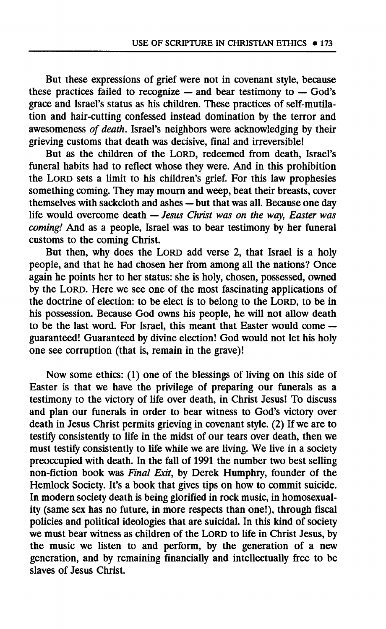**But these expressions of grief were not in covenant style, because these practices failed to recognize — and bear testimony to — God's grace and Israel's status as his children. These practices of self-mutilation and hair-cutting confessed instead domination by the terror and awesomeness** *of death.* **Israel's neighbors were acknowledging by their grieving customs that death was decisive, final and irreversible!** 

**But as the children of the LORD, redeemed from death, Israel's funeral habits had to reflect whose they were. And in this prohibition the LORD sets a limit to his children's grief. For this law prophesies something coming. They may mourn and weep, beat their breasts, cover themselves with sackcloth and ashes — but that was all. Because one day life would overcome death —** *Jesus Christ was on the way, Easter was coming!* **And as a people, Israel was to bear testimony by her funeral customs to the coming Christ.** 

**But then, why does the LORD add verse 2, that Israel is a holy people, and that he had chosen her from among all the nations? Once again he points her to her status: she is holy, chosen, possessed, owned by the LORD. Here we see one of the most fascinating applications of the doctrine of election: to be elect is to belong to the LORD, to be in his possession. Because God owns his people, he will not allow death to be the last word. For Israel, this meant that Easter would come guaranteed! Guaranteed by divine election! God would not let his holy one see corruption (that is, remain in the grave)!** 

**Now some ethics: (1) one of the blessings of living on this side of Easter is that we have the privilege of preparing our funerals as a testimony to the victory of life over death, in Christ Jesus! To discuss and plan our funerals in order to bear witness to God's victory over death in Jesus Christ permits grieving in covenant style. (2) If we are to testify consistently to life in the midst of our tears over death, then we must testify consistently to life while we are living. We live in a society preoccupied with death. In the fall of 1991 the number two best selling non-fiction book was** *Final Exit,* **by Derek Humphry, founder of the Hemlock Society. It's a book that gives tips on how to commit suicide. In modern society death is being glorified in rock music, in homosexuality (same sex has no future, in more respects than one!), through fiscal policies and political ideologies that are suicidal. In this kind of society we must bear witness as children of the LORD to life in Christ Jesus, by the music we listen to and perform, by the generation of a new generation, and by remaining financially and intellectually free to be slaves of Jesus Christ.**